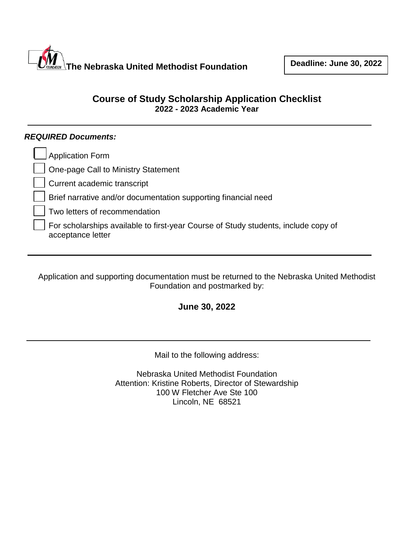

# **Course of Study Scholarship Application Checklist 2022 - 2023 Academic Year**

## *REQUIRED Documents:*

| Application Form                                                                                        |
|---------------------------------------------------------------------------------------------------------|
| One-page Call to Ministry Statement                                                                     |
| Current academic transcript                                                                             |
| Brief narrative and/or documentation supporting financial need                                          |
| Two letters of recommendation                                                                           |
| For scholarships available to first-year Course of Study students, include copy of<br>acceptance letter |

Application and supporting documentation must be returned to the Nebraska United Methodist Foundation and postmarked by:

## **June 30, 2022**

Mail to the following address:

Nebraska United Methodist Foundation Attention: Kristine Roberts, Director of Stewardship 100 W Fletcher Ave Ste 100 Lincoln, NE 68521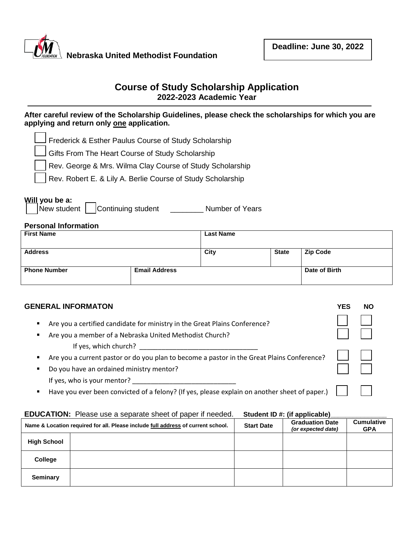

## **Course of Study Scholarship Application 2022-2023 Academic Year**

### **After careful review of the Scholarship Guidelines, please check the scholarships for which you are applying and return only one application.**

|  |  |  |  | $\Box$ Frederick & Esther Paulus Course of Study Scholarship |
|--|--|--|--|--------------------------------------------------------------|
|  |  |  |  |                                                              |

Gifts From The Heart Course of Study Scholarship

Rev. George & Mrs. Wilma Clay Course of Study Scholarship

Rev. Robert E. & Lily A. Berlie Course of Study Scholarship

#### **Will you be a:**

|  | New student |  | Continuing student |  | <b>Number of Years</b> |  |
|--|-------------|--|--------------------|--|------------------------|--|
|--|-------------|--|--------------------|--|------------------------|--|

#### **Personal Information**

| <b>First Name</b>   |                      | <b>Last Name</b> |              |                 |
|---------------------|----------------------|------------------|--------------|-----------------|
| <b>Address</b>      |                      | City             | <b>State</b> | <b>Zip Code</b> |
| <b>Phone Number</b> | <b>Email Address</b> |                  |              | Date of Birth   |

## **GENERAL INFORMATON YES NO**

| Are you a certified candidate for ministry in the Great Plains Conference? |  |  |
|----------------------------------------------------------------------------|--|--|
|                                                                            |  |  |

- Are you a member of a Nebraska United Methodist Church? If yes, which church?
- Are you a current pastor or do you plan to become a pastor in the Great Plains Conference?
- Do you have an ordained ministry mentor? If yes, who is your mentor?  $\sqrt{2}$
- Have you ever been convicted of a felony? (If yes, please explain on another sheet of paper.)

### **EDUCATION:** Please use a separate sheet of paper if needed. Student ID #: (if applicable)

|                    | Name & Location required for all. Please include full address of current school. | <b>Start Date</b> | <b>Graduation Date</b><br>(or expected date) | <b>Cumulative</b><br><b>GPA</b> |
|--------------------|----------------------------------------------------------------------------------|-------------------|----------------------------------------------|---------------------------------|
| <b>High School</b> |                                                                                  |                   |                                              |                                 |
| College            |                                                                                  |                   |                                              |                                 |
| <b>Seminary</b>    |                                                                                  |                   |                                              |                                 |